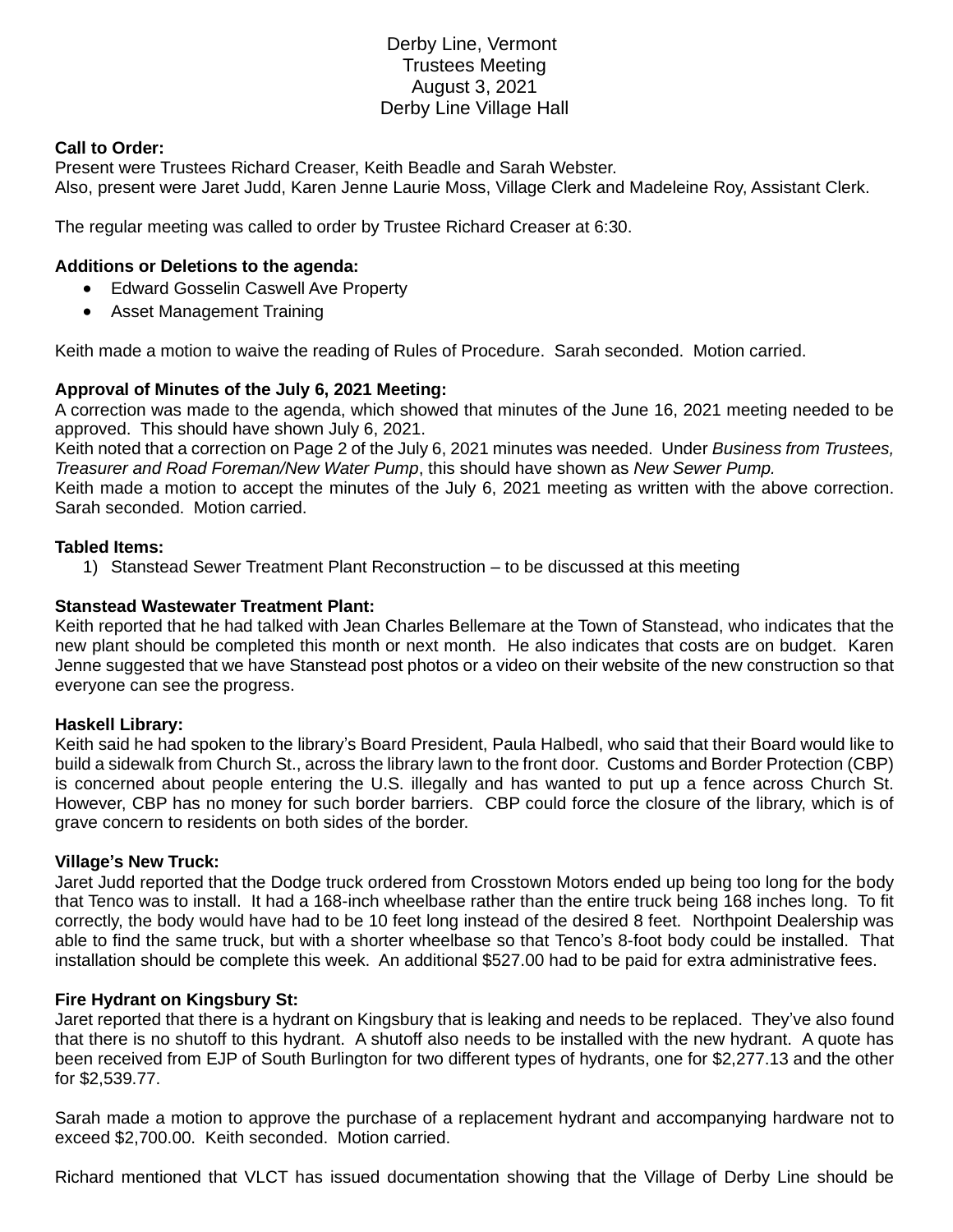# Derby Line, Vermont Trustees Meeting August 3, 2021 Derby Line Village Hall

## **Call to Order:**

Present were Trustees Richard Creaser, Keith Beadle and Sarah Webster. Also, present were Jaret Judd, Karen Jenne Laurie Moss, Village Clerk and Madeleine Roy, Assistant Clerk.

The regular meeting was called to order by Trustee Richard Creaser at 6:30.

## **Additions or Deletions to the agenda:**

- Edward Gosselin Caswell Ave Property
- Asset Management Training

Keith made a motion to waive the reading of Rules of Procedure. Sarah seconded. Motion carried.

### **Approval of Minutes of the July 6, 2021 Meeting:**

A correction was made to the agenda, which showed that minutes of the June 16, 2021 meeting needed to be approved. This should have shown July 6, 2021.

Keith noted that a correction on Page 2 of the July 6, 2021 minutes was needed. Under *Business from Trustees, Treasurer and Road Foreman/New Water Pump*, this should have shown as *New Sewer Pump.* Keith made a motion to accept the minutes of the July 6, 2021 meeting as written with the above correction.

Sarah seconded. Motion carried.

### **Tabled Items:**

1) Stanstead Sewer Treatment Plant Reconstruction – to be discussed at this meeting

## **Stanstead Wastewater Treatment Plant:**

Keith reported that he had talked with Jean Charles Bellemare at the Town of Stanstead, who indicates that the new plant should be completed this month or next month. He also indicates that costs are on budget. Karen Jenne suggested that we have Stanstead post photos or a video on their website of the new construction so that everyone can see the progress.

### **Haskell Library:**

Keith said he had spoken to the library's Board President, Paula Halbedl, who said that their Board would like to build a sidewalk from Church St., across the library lawn to the front door. Customs and Border Protection (CBP) is concerned about people entering the U.S. illegally and has wanted to put up a fence across Church St. However, CBP has no money for such border barriers. CBP could force the closure of the library, which is of grave concern to residents on both sides of the border.

### **Village's New Truck:**

Jaret Judd reported that the Dodge truck ordered from Crosstown Motors ended up being too long for the body that Tenco was to install. It had a 168-inch wheelbase rather than the entire truck being 168 inches long. To fit correctly, the body would have had to be 10 feet long instead of the desired 8 feet. Northpoint Dealership was able to find the same truck, but with a shorter wheelbase so that Tenco's 8-foot body could be installed. That installation should be complete this week. An additional \$527.00 had to be paid for extra administrative fees.

## **Fire Hydrant on Kingsbury St:**

Jaret reported that there is a hydrant on Kingsbury that is leaking and needs to be replaced. They've also found that there is no shutoff to this hydrant. A shutoff also needs to be installed with the new hydrant. A quote has been received from EJP of South Burlington for two different types of hydrants, one for \$2,277.13 and the other for \$2,539.77.

Sarah made a motion to approve the purchase of a replacement hydrant and accompanying hardware not to exceed \$2,700.00. Keith seconded. Motion carried.

Richard mentioned that VLCT has issued documentation showing that the Village of Derby Line should be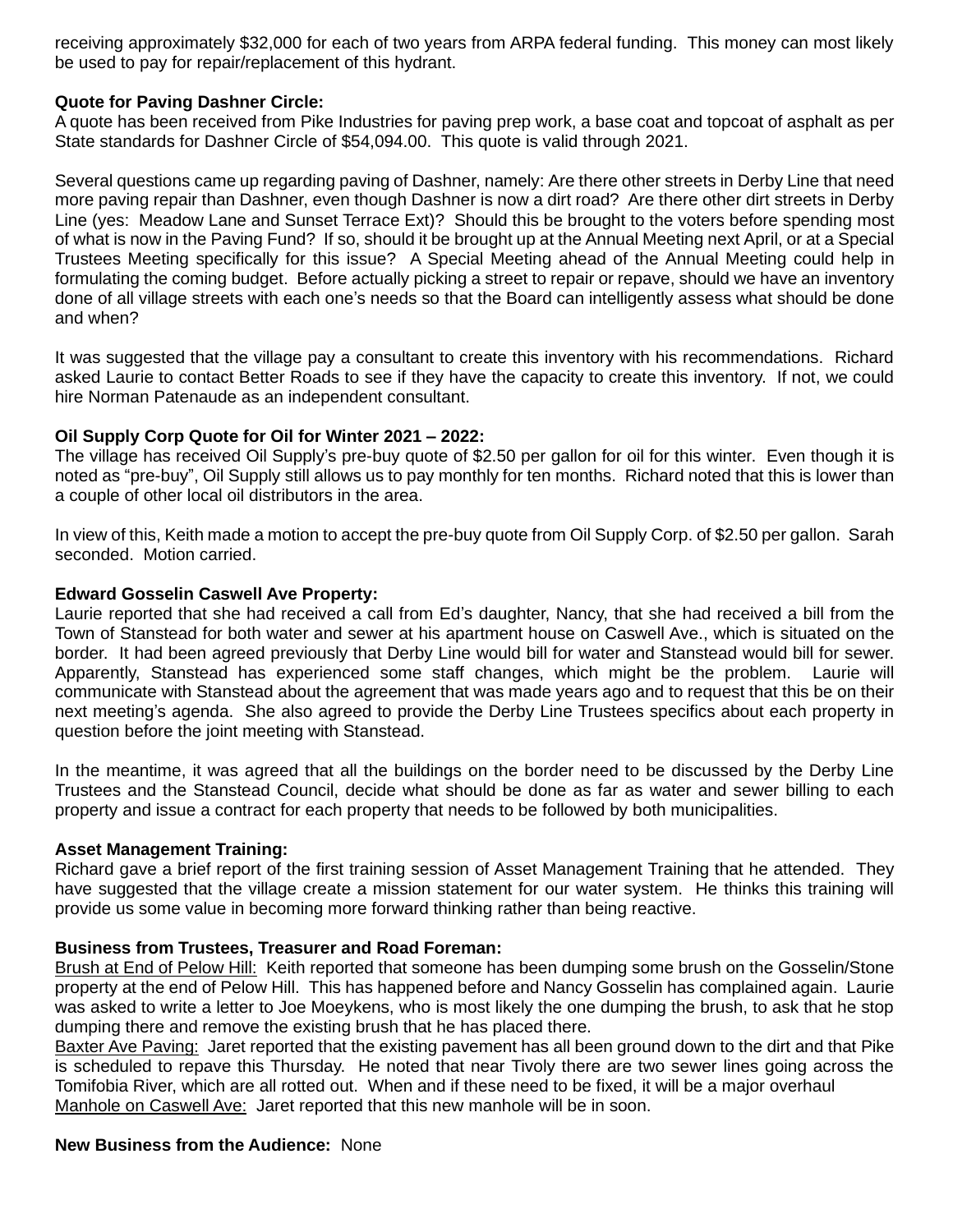receiving approximately \$32,000 for each of two years from ARPA federal funding. This money can most likely be used to pay for repair/replacement of this hydrant.

### **Quote for Paving Dashner Circle:**

A quote has been received from Pike Industries for paving prep work, a base coat and topcoat of asphalt as per State standards for Dashner Circle of \$54,094.00. This quote is valid through 2021.

Several questions came up regarding paving of Dashner, namely: Are there other streets in Derby Line that need more paving repair than Dashner, even though Dashner is now a dirt road? Are there other dirt streets in Derby Line (yes: Meadow Lane and Sunset Terrace Ext)? Should this be brought to the voters before spending most of what is now in the Paving Fund? If so, should it be brought up at the Annual Meeting next April, or at a Special Trustees Meeting specifically for this issue? A Special Meeting ahead of the Annual Meeting could help in formulating the coming budget. Before actually picking a street to repair or repave, should we have an inventory done of all village streets with each one's needs so that the Board can intelligently assess what should be done and when?

It was suggested that the village pay a consultant to create this inventory with his recommendations. Richard asked Laurie to contact Better Roads to see if they have the capacity to create this inventory. If not, we could hire Norman Patenaude as an independent consultant.

## **Oil Supply Corp Quote for Oil for Winter 2021 – 2022:**

The village has received Oil Supply's pre-buy quote of \$2.50 per gallon for oil for this winter. Even though it is noted as "pre-buy", Oil Supply still allows us to pay monthly for ten months. Richard noted that this is lower than a couple of other local oil distributors in the area.

In view of this, Keith made a motion to accept the pre-buy quote from Oil Supply Corp. of \$2.50 per gallon. Sarah seconded. Motion carried.

### **Edward Gosselin Caswell Ave Property:**

Laurie reported that she had received a call from Ed's daughter, Nancy, that she had received a bill from the Town of Stanstead for both water and sewer at his apartment house on Caswell Ave., which is situated on the border. It had been agreed previously that Derby Line would bill for water and Stanstead would bill for sewer. Apparently, Stanstead has experienced some staff changes, which might be the problem. Laurie will communicate with Stanstead about the agreement that was made years ago and to request that this be on their next meeting's agenda. She also agreed to provide the Derby Line Trustees specifics about each property in question before the joint meeting with Stanstead.

In the meantime, it was agreed that all the buildings on the border need to be discussed by the Derby Line Trustees and the Stanstead Council, decide what should be done as far as water and sewer billing to each property and issue a contract for each property that needs to be followed by both municipalities.

### **Asset Management Training:**

Richard gave a brief report of the first training session of Asset Management Training that he attended. They have suggested that the village create a mission statement for our water system. He thinks this training will provide us some value in becoming more forward thinking rather than being reactive.

## **Business from Trustees, Treasurer and Road Foreman:**

Brush at End of Pelow Hill: Keith reported that someone has been dumping some brush on the Gosselin/Stone property at the end of Pelow Hill. This has happened before and Nancy Gosselin has complained again. Laurie was asked to write a letter to Joe Moeykens, who is most likely the one dumping the brush, to ask that he stop dumping there and remove the existing brush that he has placed there.

Baxter Ave Paving: Jaret reported that the existing pavement has all been ground down to the dirt and that Pike is scheduled to repave this Thursday. He noted that near Tivoly there are two sewer lines going across the Tomifobia River, which are all rotted out. When and if these need to be fixed, it will be a major overhaul Manhole on Caswell Ave: Jaret reported that this new manhole will be in soon.

### **New Business from the Audience:** None